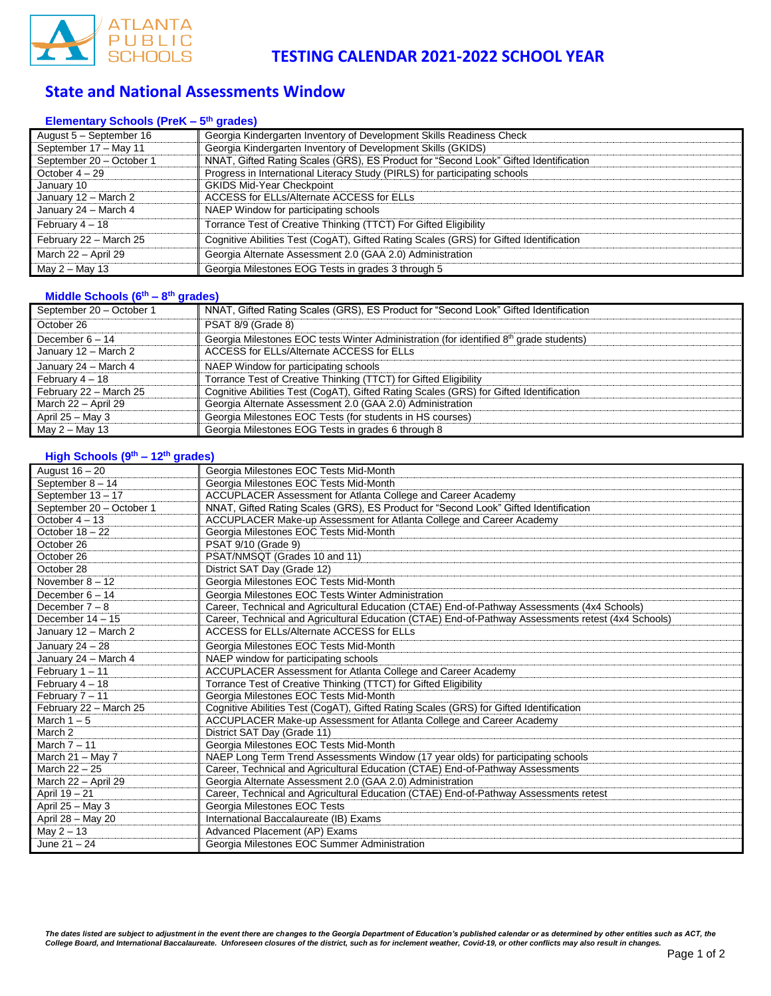

## **State and National Assessments Window**

#### **Elementary Schools (PreK – 5 th grades)**

| August 5 - September 16  | Georgia Kindergarten Inventory of Development Skills Readiness Check                   |  |  |
|--------------------------|----------------------------------------------------------------------------------------|--|--|
| September 17 - May 11    | Georgia Kindergarten Inventory of Development Skills (GKIDS)                           |  |  |
| September 20 - October 1 | NNAT, Gifted Rating Scales (GRS), ES Product for "Second Look" Gifted Identification   |  |  |
| October $4-29$           | Progress in International Literacy Study (PIRLS) for participating schools             |  |  |
| January 10               | <b>GKIDS Mid-Year Checkpoint</b>                                                       |  |  |
| January 12 - March 2     | ACCESS for ELLs/Alternate ACCESS for ELLs                                              |  |  |
| January 24 - March 4     | NAEP Window for participating schools                                                  |  |  |
| February 4 - 18          | Torrance Test of Creative Thinking (TTCT) For Gifted Eligibility                       |  |  |
| February 22 - March 25   | Cognitive Abilities Test (CogAT), Gifted Rating Scales (GRS) for Gifted Identification |  |  |
| March 22 - April 29      | Georgia Alternate Assessment 2.0 (GAA 2.0) Administration                              |  |  |
| May $2 -$ May 13         | Georgia Milestones EOG Tests in grades 3 through 5                                     |  |  |

#### **Middle Schools (6th – 8 th grades)**

| September 20 - October 1 | NNAT, Gifted Rating Scales (GRS), ES Product for "Second Look" Gifted Identification               |
|--------------------------|----------------------------------------------------------------------------------------------------|
| October 26               | PSAT 8/9 (Grade 8)                                                                                 |
| December $6 - 14$        | Georgia Milestones EOC tests Winter Administration (for identified 8 <sup>th</sup> grade students) |
| January 12 - March 2     | ACCESS for ELLs/Alternate ACCESS for ELLs                                                          |
| January 24 - March 4     | NAEP Window for participating schools                                                              |
| February $4-18$          | Torrance Test of Creative Thinking (TTCT) for Gifted Eligibility                                   |
| February 22 - March 25   | Cognitive Abilities Test (CogAT), Gifted Rating Scales (GRS) for Gifted Identification             |
| March 22 - April 29      | Georgia Alternate Assessment 2.0 (GAA 2.0) Administration                                          |
| April $25 -$ May 3       | Georgia Milestones EOC Tests (for students in HS courses)                                          |
| May 2 – May 13           | Georgia Milestones EOG Tests in grades 6 through 8                                                 |

#### **High Schools (9th – 12th grades)**

| August 16 - 20           | Georgia Milestones EOC Tests Mid-Month                                                              |
|--------------------------|-----------------------------------------------------------------------------------------------------|
| September 8 - 14         | Georgia Milestones EOC Tests Mid-Month                                                              |
| September 13 - 17        | ACCUPLACER Assessment for Atlanta College and Career Academy                                        |
| September 20 - October 1 | NNAT, Gifted Rating Scales (GRS), ES Product for "Second Look" Gifted Identification                |
| October $4 - 13$         | ACCUPLACER Make-up Assessment for Atlanta College and Career Academy                                |
| October $18 - 22$        | Georgia Milestones EOC Tests Mid-Month                                                              |
| October 26               | PSAT 9/10 (Grade 9)                                                                                 |
| October 26               | PSAT/NMSQT (Grades 10 and 11)                                                                       |
| October 28               | District SAT Day (Grade 12)                                                                         |
| November $8 - 12$        | Georgia Milestones EOC Tests Mid-Month                                                              |
| December $6 - 14$        | Georgia Milestones EOC Tests Winter Administration                                                  |
| December $7 - 8$         | Career, Technical and Agricultural Education (CTAE) End-of-Pathway Assessments (4x4 Schools)        |
| December $14 - 15$       | Career, Technical and Agricultural Education (CTAE) End-of-Pathway Assessments retest (4x4 Schools) |
| January 12 - March 2     | <b>ACCESS for ELLs/Alternate ACCESS for ELLs</b>                                                    |
| January 24 - 28          | Georgia Milestones EOC Tests Mid-Month                                                              |
| January 24 - March 4     | NAEP window for participating schools                                                               |
| February $1 - 11$        | ACCUPLACER Assessment for Atlanta College and Career Academy                                        |
| February 4 - 18          | Torrance Test of Creative Thinking (TTCT) for Gifted Eligibility                                    |
| February 7 - 11          | Georgia Milestones EOC Tests Mid-Month                                                              |
| February 22 - March 25   | Cognitive Abilities Test (CogAT), Gifted Rating Scales (GRS) for Gifted Identification              |
| March $1-5$              | ACCUPLACER Make-up Assessment for Atlanta College and Career Academy                                |
| March 2                  | District SAT Day (Grade 11)                                                                         |
| March $7 - 11$           | Georgia Milestones EOC Tests Mid-Month                                                              |
| March $21 -$ May 7       | NAEP Long Term Trend Assessments Window (17 year olds) for participating schools                    |
| March 22 - 25            | Career, Technical and Agricultural Education (CTAE) End-of-Pathway Assessments                      |
| March 22 - April 29      | Georgia Alternate Assessment 2.0 (GAA 2.0) Administration                                           |
| April 19 - 21            | Career, Technical and Agricultural Education (CTAE) End-of-Pathway Assessments retest               |
| April $25 - May 3$       | Georgia Milestones EOC Tests                                                                        |
| April 28 - May 20        | International Baccalaureate (IB) Exams                                                              |
| May $2 - 13$             | Advanced Placement (AP) Exams                                                                       |
| June $21 - 24$           | Georgia Milestones EOC Summer Administration                                                        |